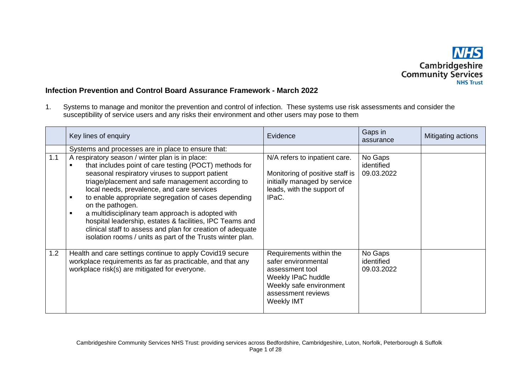

## **Infection Prevention and Control Board Assurance Framework - March 2022**

1. Systems to manage and monitor the prevention and control of infection. These systems use risk assessments and consider the susceptibility of service users and any risks their environment and other users may pose to them

|     | Key lines of enquiry                                                                                                                                                                                                                                                                                                                                                                                                                                                                                                                                                                          | Evidence                                                                                                                                               | Gaps in<br>assurance                | Mitigating actions |
|-----|-----------------------------------------------------------------------------------------------------------------------------------------------------------------------------------------------------------------------------------------------------------------------------------------------------------------------------------------------------------------------------------------------------------------------------------------------------------------------------------------------------------------------------------------------------------------------------------------------|--------------------------------------------------------------------------------------------------------------------------------------------------------|-------------------------------------|--------------------|
|     | Systems and processes are in place to ensure that:                                                                                                                                                                                                                                                                                                                                                                                                                                                                                                                                            |                                                                                                                                                        |                                     |                    |
| 1.1 | A respiratory season / winter plan is in place:<br>that includes point of care testing (POCT) methods for<br>seasonal respiratory viruses to support patient<br>triage/placement and safe management according to<br>local needs, prevalence, and care services<br>to enable appropriate segregation of cases depending<br>п<br>on the pathogen.<br>a multidisciplinary team approach is adopted with<br>hospital leadership, estates & facilities, IPC Teams and<br>clinical staff to assess and plan for creation of adequate<br>isolation rooms / units as part of the Trusts winter plan. | N/A refers to inpatient care.<br>Monitoring of positive staff is<br>initially managed by service<br>leads, with the support of<br>IPaC.                | No Gaps<br>identified<br>09.03.2022 |                    |
| 1.2 | Health and care settings continue to apply Covid19 secure<br>workplace requirements as far as practicable, and that any<br>workplace risk(s) are mitigated for everyone.                                                                                                                                                                                                                                                                                                                                                                                                                      | Requirements within the<br>safer environmental<br>assessment tool<br>Weekly IPaC huddle<br>Weekly safe environment<br>assessment reviews<br>Weekly IMT | No Gaps<br>identified<br>09.03.2022 |                    |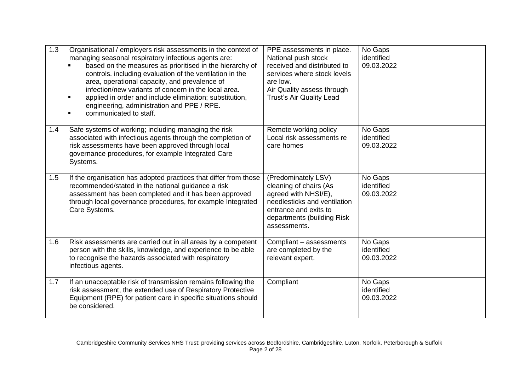| 1.3 | Organisational / employers risk assessments in the context of<br>managing seasonal respiratory infectious agents are:<br>based on the measures as prioritised in the hierarchy of<br>controls. including evaluation of the ventilation in the<br>area, operational capacity, and prevalence of<br>infection/new variants of concern in the local area.<br>applied in order and include elimination; substitution,<br>$\blacksquare$<br>engineering, administration and PPE / RPE.<br>communicated to staff. | PPE assessments in place.<br>National push stock<br>received and distributed to<br>services where stock levels<br>are low.<br>Air Quality assess through<br><b>Trust's Air Quality Lead</b> | No Gaps<br>identified<br>09.03.2022 |  |
|-----|-------------------------------------------------------------------------------------------------------------------------------------------------------------------------------------------------------------------------------------------------------------------------------------------------------------------------------------------------------------------------------------------------------------------------------------------------------------------------------------------------------------|---------------------------------------------------------------------------------------------------------------------------------------------------------------------------------------------|-------------------------------------|--|
| 1.4 | Safe systems of working; including managing the risk<br>associated with infectious agents through the completion of<br>risk assessments have been approved through local<br>governance procedures, for example Integrated Care<br>Systems.                                                                                                                                                                                                                                                                  | Remote working policy<br>Local risk assessments re<br>care homes                                                                                                                            | No Gaps<br>identified<br>09.03.2022 |  |
| 1.5 | If the organisation has adopted practices that differ from those<br>recommended/stated in the national guidance a risk<br>assessment has been completed and it has been approved<br>through local governance procedures, for example Integrated<br>Care Systems.                                                                                                                                                                                                                                            | (Predominately LSV)<br>cleaning of chairs (As<br>agreed with NHSI/E),<br>needlesticks and ventilation<br>entrance and exits to<br>departments (building Risk<br>assessments.                | No Gaps<br>identified<br>09.03.2022 |  |
| 1.6 | Risk assessments are carried out in all areas by a competent<br>person with the skills, knowledge, and experience to be able<br>to recognise the hazards associated with respiratory<br>infectious agents.                                                                                                                                                                                                                                                                                                  | Compliant - assessments<br>are completed by the<br>relevant expert.                                                                                                                         | No Gaps<br>identified<br>09.03.2022 |  |
| 1.7 | If an unacceptable risk of transmission remains following the<br>risk assessment, the extended use of Respiratory Protective<br>Equipment (RPE) for patient care in specific situations should<br>be considered.                                                                                                                                                                                                                                                                                            | Compliant                                                                                                                                                                                   | No Gaps<br>identified<br>09.03.2022 |  |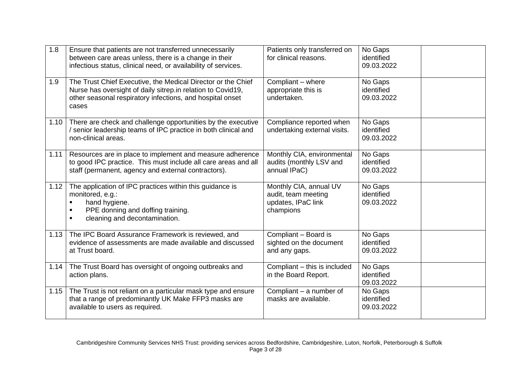| 1.8  | Ensure that patients are not transferred unnecessarily<br>between care areas unless, there is a change in their<br>infectious status, clinical need, or availability of services.                 | Patients only transferred on<br>for clinical reasons.                            | No Gaps<br>identified<br>09.03.2022 |  |
|------|---------------------------------------------------------------------------------------------------------------------------------------------------------------------------------------------------|----------------------------------------------------------------------------------|-------------------------------------|--|
| 1.9  | The Trust Chief Executive, the Medical Director or the Chief<br>Nurse has oversight of daily sitrep.in relation to Covid19,<br>other seasonal respiratory infections, and hospital onset<br>cases | Compliant - where<br>appropriate this is<br>undertaken.                          | No Gaps<br>identified<br>09.03.2022 |  |
| 1.10 | There are check and challenge opportunities by the executive<br>/ senior leadership teams of IPC practice in both clinical and<br>non-clinical areas.                                             | Compliance reported when<br>undertaking external visits.                         | No Gaps<br>identified<br>09.03.2022 |  |
| 1.11 | Resources are in place to implement and measure adherence<br>to good IPC practice. This must include all care areas and all<br>staff (permanent, agency and external contractors).                | Monthly CIA, environmental<br>audits (monthly LSV and<br>annual IPaC)            | No Gaps<br>identified<br>09.03.2022 |  |
| 1.12 | The application of IPC practices within this guidance is<br>monitored, e.g.:<br>hand hygiene.<br>PPE donning and doffing training.<br>cleaning and decontamination.                               | Monthly CIA, annual UV<br>audit, team meeting<br>updates, IPaC link<br>champions | No Gaps<br>identified<br>09.03.2022 |  |
| 1.13 | The IPC Board Assurance Framework is reviewed, and<br>evidence of assessments are made available and discussed<br>at Trust board.                                                                 | Compliant - Board is<br>sighted on the document<br>and any gaps.                 | No Gaps<br>identified<br>09.03.2022 |  |
| 1.14 | The Trust Board has oversight of ongoing outbreaks and<br>action plans.                                                                                                                           | Compliant - this is included<br>in the Board Report.                             | No Gaps<br>identified<br>09.03.2022 |  |
| 1.15 | The Trust is not reliant on a particular mask type and ensure<br>that a range of predominantly UK Make FFP3 masks are<br>available to users as required.                                          | Compliant - a number of<br>masks are available.                                  | No Gaps<br>identified<br>09.03.2022 |  |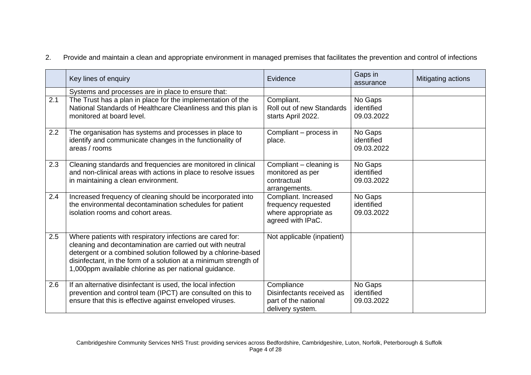2. Provide and maintain a clean and appropriate environment in managed premises that facilitates the prevention and control of infections

|     | Key lines of enquiry                                                                                                                                                                                                                                                                                                 | Evidence                                                                                 | Gaps in<br>assurance                | Mitigating actions |
|-----|----------------------------------------------------------------------------------------------------------------------------------------------------------------------------------------------------------------------------------------------------------------------------------------------------------------------|------------------------------------------------------------------------------------------|-------------------------------------|--------------------|
|     | Systems and processes are in place to ensure that:                                                                                                                                                                                                                                                                   |                                                                                          |                                     |                    |
| 2.1 | The Trust has a plan in place for the implementation of the<br>National Standards of Healthcare Cleanliness and this plan is<br>monitored at board level.                                                                                                                                                            | Compliant.<br>Roll out of new Standards<br>starts April 2022.                            | No Gaps<br>identified<br>09.03.2022 |                    |
| 2.2 | The organisation has systems and processes in place to<br>identify and communicate changes in the functionality of<br>areas / rooms                                                                                                                                                                                  | Compliant – process in<br>place.                                                         | No Gaps<br>identified<br>09.03.2022 |                    |
| 2.3 | Cleaning standards and frequencies are monitored in clinical<br>and non-clinical areas with actions in place to resolve issues<br>in maintaining a clean environment.                                                                                                                                                | Compliant – cleaning is<br>monitored as per<br>contractual<br>arrangements.              | No Gaps<br>identified<br>09.03.2022 |                    |
| 2.4 | Increased frequency of cleaning should be incorporated into<br>the environmental decontamination schedules for patient<br>isolation rooms and cohort areas.                                                                                                                                                          | Compliant. Increased<br>frequency requested<br>where appropriate as<br>agreed with IPaC. | No Gaps<br>identified<br>09.03.2022 |                    |
| 2.5 | Where patients with respiratory infections are cared for:<br>cleaning and decontamination are carried out with neutral<br>detergent or a combined solution followed by a chlorine-based<br>disinfectant, in the form of a solution at a minimum strength of<br>1,000ppm available chlorine as per national guidance. | Not applicable (inpatient)                                                               |                                     |                    |
| 2.6 | If an alternative disinfectant is used, the local infection<br>prevention and control team (IPCT) are consulted on this to<br>ensure that this is effective against enveloped viruses.                                                                                                                               | Compliance<br>Disinfectants received as<br>part of the national<br>delivery system.      | No Gaps<br>identified<br>09.03.2022 |                    |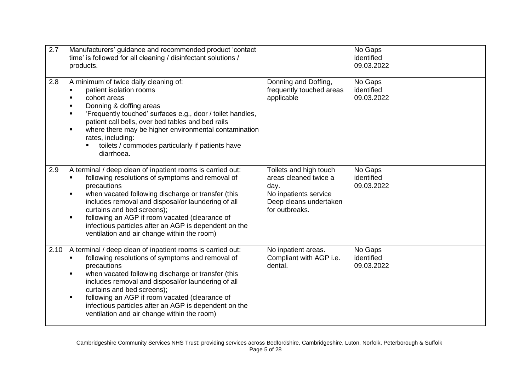| 2.7  | Manufacturers' guidance and recommended product 'contact<br>time' is followed for all cleaning / disinfectant solutions /<br>products.                                                                                                                                                                                                                                                                                                              |                                                                                                                              | No Gaps<br>identified<br>09.03.2022 |  |
|------|-----------------------------------------------------------------------------------------------------------------------------------------------------------------------------------------------------------------------------------------------------------------------------------------------------------------------------------------------------------------------------------------------------------------------------------------------------|------------------------------------------------------------------------------------------------------------------------------|-------------------------------------|--|
| 2.8  | A minimum of twice daily cleaning of:<br>patient isolation rooms<br>٠<br>cohort areas<br>$\blacksquare$<br>Donning & doffing areas<br>'Frequently touched' surfaces e.g., door / toilet handles,<br>$\blacksquare$<br>patient call bells, over bed tables and bed rails<br>where there may be higher environmental contamination<br>п<br>rates, including:<br>toilets / commodes particularly if patients have<br>diarrhoea.                        | Donning and Doffing,<br>frequently touched areas<br>applicable                                                               | No Gaps<br>identified<br>09.03.2022 |  |
| 2.9  | A terminal / deep clean of inpatient rooms is carried out:<br>following resolutions of symptoms and removal of<br>precautions<br>when vacated following discharge or transfer (this<br>includes removal and disposal/or laundering of all<br>curtains and bed screens);<br>following an AGP if room vacated (clearance of<br>infectious particles after an AGP is dependent on the<br>ventilation and air change within the room)                   | Toilets and high touch<br>areas cleaned twice a<br>day.<br>No inpatients service<br>Deep cleans undertaken<br>for outbreaks. | No Gaps<br>identified<br>09.03.2022 |  |
| 2.10 | A terminal / deep clean of inpatient rooms is carried out:<br>following resolutions of symptoms and removal of<br>precautions<br>when vacated following discharge or transfer (this<br>includes removal and disposal/or laundering of all<br>curtains and bed screens);<br>following an AGP if room vacated (clearance of<br>$\blacksquare$<br>infectious particles after an AGP is dependent on the<br>ventilation and air change within the room) | No inpatient areas.<br>Compliant with AGP i.e.<br>dental.                                                                    | No Gaps<br>identified<br>09.03.2022 |  |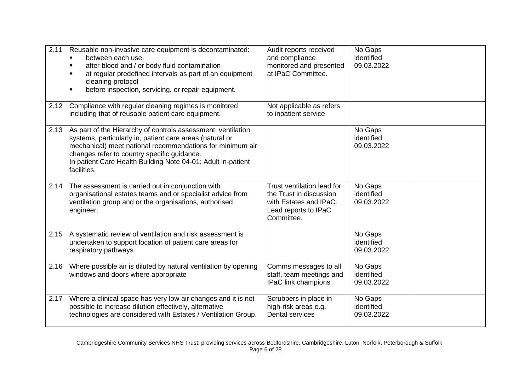| 2.11 | Reusable non-invasive care equipment is decontaminated:<br>between each use.<br>after blood and / or body fluid contamination<br>$\blacksquare$<br>at regular predefined intervals as part of an equipment<br>cleaning protocol<br>before inspection, servicing, or repair equipment.                               | Audit reports received<br>and compliance<br>monitored and presented<br>at IPaC Committee.                             | No Gaps<br>identified<br>09.03.2022 |  |
|------|---------------------------------------------------------------------------------------------------------------------------------------------------------------------------------------------------------------------------------------------------------------------------------------------------------------------|-----------------------------------------------------------------------------------------------------------------------|-------------------------------------|--|
| 2.12 | Compliance with regular cleaning regimes is monitored<br>including that of reusable patient care equipment.                                                                                                                                                                                                         | Not applicable as refers<br>to inpatient service                                                                      |                                     |  |
| 2.13 | As part of the Hierarchy of controls assessment: ventilation<br>systems, particularly in, patient care areas (natural or<br>mechanical) meet national recommendations for minimum air<br>changes refer to country specific guidance.<br>In patient Care Health Building Note 04-01: Adult in-patient<br>facilities. |                                                                                                                       | No Gaps<br>identified<br>09.03.2022 |  |
| 2.14 | The assessment is carried out in conjunction with<br>organisational estates teams and or specialist advice from<br>ventilation group and or the organisations, authorised<br>engineer.                                                                                                                              | Trust ventilation lead for<br>the Trust in discussion<br>with Estates and IPaC.<br>Lead reports to IPaC<br>Committee. | No Gaps<br>identified<br>09.03.2022 |  |
| 2.15 | A systematic review of ventilation and risk assessment is<br>undertaken to support location of patient care areas for<br>respiratory pathways.                                                                                                                                                                      |                                                                                                                       | No Gaps<br>identified<br>09.03.2022 |  |
| 2.16 | Where possible air is diluted by natural ventilation by opening<br>windows and doors where appropriate                                                                                                                                                                                                              | Comms messages to all<br>staff, team meetings and<br>IPaC link champions                                              | No Gaps<br>identified<br>09.03.2022 |  |
| 2.17 | Where a clinical space has very low air changes and it is not<br>possible to increase dilution effectively, alternative<br>technologies are considered with Estates / Ventilation Group.                                                                                                                            | Scrubbers in place in<br>high-risk areas e.g.<br><b>Dental services</b>                                               | No Gaps<br>identified<br>09.03.2022 |  |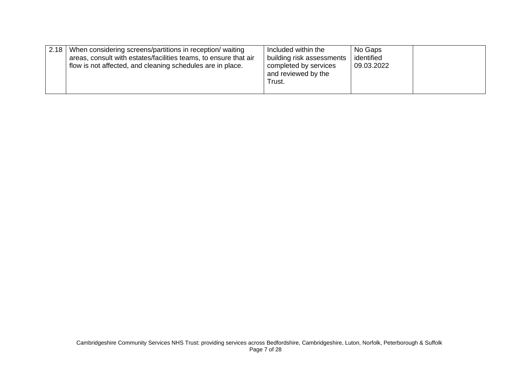| 2.18<br>When considering screens/partitions in reception/ waiting<br>areas, consult with estates/facilities teams, to ensure that air<br>flow is not affected, and cleaning schedules are in place. | Included within the<br>building risk assessments<br>completed by services<br>and reviewed by the<br>Trust. | No Gaps<br>identified<br>09.03.2022 |  |
|-----------------------------------------------------------------------------------------------------------------------------------------------------------------------------------------------------|------------------------------------------------------------------------------------------------------------|-------------------------------------|--|
|-----------------------------------------------------------------------------------------------------------------------------------------------------------------------------------------------------|------------------------------------------------------------------------------------------------------------|-------------------------------------|--|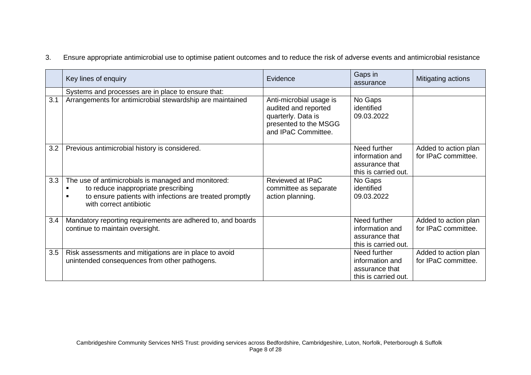3. Ensure appropriate antimicrobial use to optimise patient outcomes and to reduce the risk of adverse events and antimicrobial resistance

|     | Key lines of enquiry                                                                                                                                                             | Evidence                                                                                                              | Gaps in<br>assurance                                                      | Mitigating actions                          |
|-----|----------------------------------------------------------------------------------------------------------------------------------------------------------------------------------|-----------------------------------------------------------------------------------------------------------------------|---------------------------------------------------------------------------|---------------------------------------------|
|     | Systems and processes are in place to ensure that:                                                                                                                               |                                                                                                                       |                                                                           |                                             |
| 3.1 | Arrangements for antimicrobial stewardship are maintained                                                                                                                        | Anti-microbial usage is<br>audited and reported<br>quarterly. Data is<br>presented to the MSGG<br>and IPaC Committee. | No Gaps<br>identified<br>09.03.2022                                       |                                             |
| 3.2 | Previous antimicrobial history is considered.                                                                                                                                    |                                                                                                                       | Need further<br>information and<br>assurance that<br>this is carried out. | Added to action plan<br>for IPaC committee. |
| 3.3 | The use of antimicrobials is managed and monitored:<br>to reduce inappropriate prescribing<br>to ensure patients with infections are treated promptly<br>with correct antibiotic | Reviewed at IPaC<br>committee as separate<br>action planning.                                                         | No Gaps<br>identified<br>09.03.2022                                       |                                             |
| 3.4 | Mandatory reporting requirements are adhered to, and boards<br>continue to maintain oversight.                                                                                   |                                                                                                                       | Need further<br>information and<br>assurance that<br>this is carried out. | Added to action plan<br>for IPaC committee. |
| 3.5 | Risk assessments and mitigations are in place to avoid<br>unintended consequences from other pathogens.                                                                          |                                                                                                                       | Need further<br>information and<br>assurance that<br>this is carried out. | Added to action plan<br>for IPaC committee. |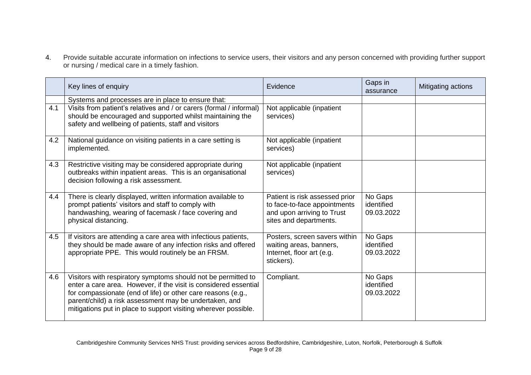4. Provide suitable accurate information on infections to service users, their visitors and any person concerned with providing further support or nursing / medical care in a timely fashion.

|     | Key lines of enquiry                                                                                                                                                                                                                                                                                                           | Evidence                                                                                                               | Gaps in<br>assurance                | Mitigating actions |
|-----|--------------------------------------------------------------------------------------------------------------------------------------------------------------------------------------------------------------------------------------------------------------------------------------------------------------------------------|------------------------------------------------------------------------------------------------------------------------|-------------------------------------|--------------------|
|     | Systems and processes are in place to ensure that:                                                                                                                                                                                                                                                                             |                                                                                                                        |                                     |                    |
| 4.1 | Visits from patient's relatives and / or carers (formal / informal)<br>should be encouraged and supported whilst maintaining the<br>safety and wellbeing of patients, staff and visitors                                                                                                                                       | Not applicable (inpatient<br>services)                                                                                 |                                     |                    |
| 4.2 | National guidance on visiting patients in a care setting is<br>implemented.                                                                                                                                                                                                                                                    | Not applicable (inpatient<br>services)                                                                                 |                                     |                    |
| 4.3 | Restrictive visiting may be considered appropriate during<br>outbreaks within inpatient areas. This is an organisational<br>decision following a risk assessment.                                                                                                                                                              | Not applicable (inpatient<br>services)                                                                                 |                                     |                    |
| 4.4 | There is clearly displayed, written information available to<br>prompt patients' visitors and staff to comply with<br>handwashing, wearing of facemask / face covering and<br>physical distancing.                                                                                                                             | Patient is risk assessed prior<br>to face-to-face appointments<br>and upon arriving to Trust<br>sites and departments. | No Gaps<br>identified<br>09.03.2022 |                    |
| 4.5 | If visitors are attending a care area with infectious patients,<br>they should be made aware of any infection risks and offered<br>appropriate PPE. This would routinely be an FRSM.                                                                                                                                           | Posters, screen savers within<br>waiting areas, banners,<br>Internet, floor art (e.g.<br>stickers).                    | No Gaps<br>identified<br>09.03.2022 |                    |
| 4.6 | Visitors with respiratory symptoms should not be permitted to<br>enter a care area. However, if the visit is considered essential<br>for compassionate (end of life) or other care reasons (e.g.,<br>parent/child) a risk assessment may be undertaken, and<br>mitigations put in place to support visiting wherever possible. | Compliant.                                                                                                             | No Gaps<br>identified<br>09.03.2022 |                    |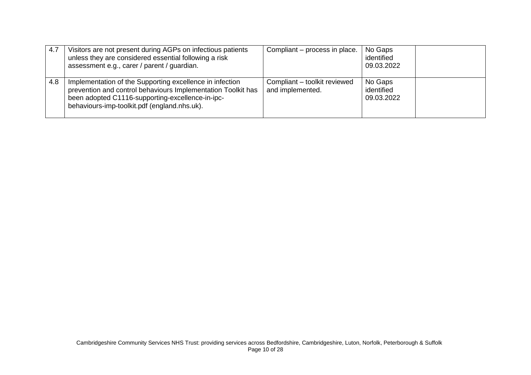| 4.7 | Visitors are not present during AGPs on infectious patients<br>unless they are considered essential following a risk<br>assessment e.g., carer / parent / guardian.                                                          | Compliant – process in place.                    | No Gaps<br>identified<br>09.03.2022 |  |
|-----|------------------------------------------------------------------------------------------------------------------------------------------------------------------------------------------------------------------------------|--------------------------------------------------|-------------------------------------|--|
| 4.8 | Implementation of the Supporting excellence in infection<br>prevention and control behaviours Implementation Toolkit has<br>been adopted C1116-supporting-excellence-in-ipc-<br>behaviours-imp-toolkit.pdf (england.nhs.uk). | Compliant - toolkit reviewed<br>and implemented. | No Gaps<br>identified<br>09.03.2022 |  |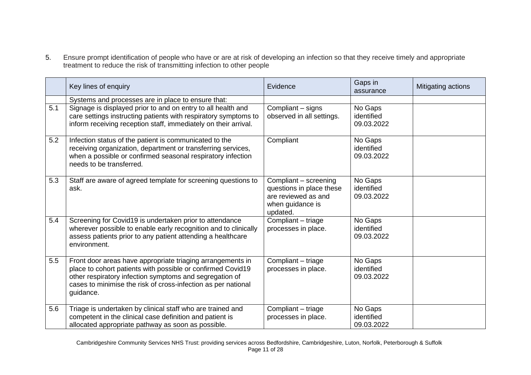5. Ensure prompt identification of people who have or are at risk of developing an infection so that they receive timely and appropriate treatment to reduce the risk of transmitting infection to other people

|     | Key lines of enquiry                                                                                                                                                                                                                                               | Evidence                                                                                                 | Gaps in<br>assurance                | Mitigating actions |
|-----|--------------------------------------------------------------------------------------------------------------------------------------------------------------------------------------------------------------------------------------------------------------------|----------------------------------------------------------------------------------------------------------|-------------------------------------|--------------------|
|     | Systems and processes are in place to ensure that:                                                                                                                                                                                                                 |                                                                                                          |                                     |                    |
| 5.1 | Signage is displayed prior to and on entry to all health and<br>care settings instructing patients with respiratory symptoms to<br>inform receiving reception staff, immediately on their arrival.                                                                 | Compliant - signs<br>observed in all settings.                                                           | No Gaps<br>identified<br>09.03.2022 |                    |
| 5.2 | Infection status of the patient is communicated to the<br>receiving organization, department or transferring services,<br>when a possible or confirmed seasonal respiratory infection<br>needs to be transferred.                                                  | Compliant                                                                                                | No Gaps<br>identified<br>09.03.2022 |                    |
| 5.3 | Staff are aware of agreed template for screening questions to<br>ask.                                                                                                                                                                                              | Compliant - screening<br>questions in place these<br>are reviewed as and<br>when guidance is<br>updated. | No Gaps<br>identified<br>09.03.2022 |                    |
| 5.4 | Screening for Covid19 is undertaken prior to attendance<br>wherever possible to enable early recognition and to clinically<br>assess patients prior to any patient attending a healthcare<br>environment.                                                          | Compliant - triage<br>processes in place.                                                                | No Gaps<br>identified<br>09.03.2022 |                    |
| 5.5 | Front door areas have appropriate triaging arrangements in<br>place to cohort patients with possible or confirmed Covid19<br>other respiratory infection symptoms and segregation of<br>cases to minimise the risk of cross-infection as per national<br>guidance. | Compliant - triage<br>processes in place.                                                                | No Gaps<br>identified<br>09.03.2022 |                    |
| 5.6 | Triage is undertaken by clinical staff who are trained and<br>competent in the clinical case definition and patient is<br>allocated appropriate pathway as soon as possible.                                                                                       | Compliant - triage<br>processes in place.                                                                | No Gaps<br>identified<br>09.03.2022 |                    |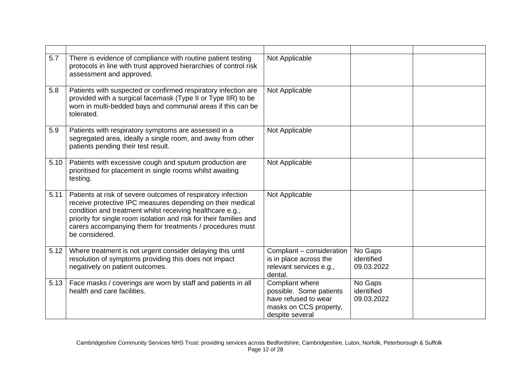| 5.7  | There is evidence of compliance with routine patient testing<br>protocols in line with trust approved hierarchies of control risk<br>assessment and approved.                                                                                                                                                                                | Not Applicable                                                                                                  |                                     |  |
|------|----------------------------------------------------------------------------------------------------------------------------------------------------------------------------------------------------------------------------------------------------------------------------------------------------------------------------------------------|-----------------------------------------------------------------------------------------------------------------|-------------------------------------|--|
| 5.8  | Patients with suspected or confirmed respiratory infection are<br>provided with a surgical facemask (Type II or Type IIR) to be<br>worn in multi-bedded bays and communal areas if this can be<br>tolerated.                                                                                                                                 | Not Applicable                                                                                                  |                                     |  |
| 5.9  | Patients with respiratory symptoms are assessed in a<br>segregated area, ideally a single room, and away from other<br>patients pending their test result.                                                                                                                                                                                   | Not Applicable                                                                                                  |                                     |  |
| 5.10 | Patients with excessive cough and sputum production are<br>prioritised for placement in single rooms whilst awaiting<br>testing.                                                                                                                                                                                                             | Not Applicable                                                                                                  |                                     |  |
| 5.11 | Patients at risk of severe outcomes of respiratory infection<br>receive protective IPC measures depending on their medical<br>condition and treatment whilst receiving healthcare e.g.,<br>priority for single room isolation and risk for their families and<br>carers accompanying them for treatments / procedures must<br>be considered. | Not Applicable                                                                                                  |                                     |  |
| 5.12 | Where treatment is not urgent consider delaying this until<br>resolution of symptoms providing this does not impact<br>negatively on patient outcomes.                                                                                                                                                                                       | Compliant - consideration<br>is in place across the<br>relevant services e.g.,<br>dental.                       | No Gaps<br>identified<br>09.03.2022 |  |
| 5.13 | Face masks / coverings are worn by staff and patients in all<br>health and care facilities.                                                                                                                                                                                                                                                  | Compliant where<br>possible. Some patients<br>have refused to wear<br>masks on CCS property,<br>despite several | No Gaps<br>identified<br>09.03.2022 |  |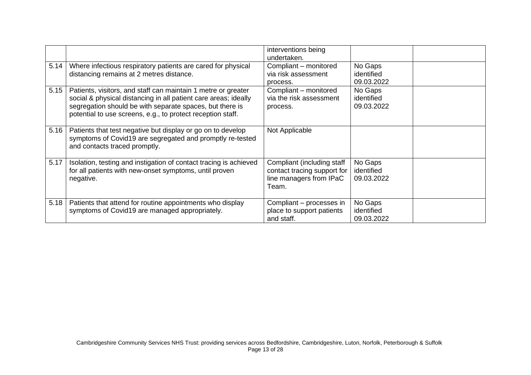|      |                                                                                                                                                                                                                                                             | interventions being<br>undertaken.                                                            |                                     |  |
|------|-------------------------------------------------------------------------------------------------------------------------------------------------------------------------------------------------------------------------------------------------------------|-----------------------------------------------------------------------------------------------|-------------------------------------|--|
| 5.14 | Where infectious respiratory patients are cared for physical<br>distancing remains at 2 metres distance.                                                                                                                                                    | Compliant - monitored<br>via risk assessment<br>process.                                      | No Gaps<br>identified<br>09.03.2022 |  |
| 5.15 | Patients, visitors, and staff can maintain 1 metre or greater<br>social & physical distancing in all patient care areas; ideally<br>segregation should be with separate spaces, but there is<br>potential to use screens, e.g., to protect reception staff. | Compliant - monitored<br>via the risk assessment<br>process.                                  | No Gaps<br>identified<br>09.03.2022 |  |
| 5.16 | Patients that test negative but display or go on to develop<br>symptoms of Covid19 are segregated and promptly re-tested<br>and contacts traced promptly.                                                                                                   | Not Applicable                                                                                |                                     |  |
| 5.17 | Isolation, testing and instigation of contact tracing is achieved<br>for all patients with new-onset symptoms, until proven<br>negative.                                                                                                                    | Compliant (including staff<br>contact tracing support for<br>line managers from IPaC<br>Team. | No Gaps<br>identified<br>09.03.2022 |  |
| 5.18 | Patients that attend for routine appointments who display<br>symptoms of Covid19 are managed appropriately.                                                                                                                                                 | Compliant – processes in<br>place to support patients<br>and staff.                           | No Gaps<br>identified<br>09.03.2022 |  |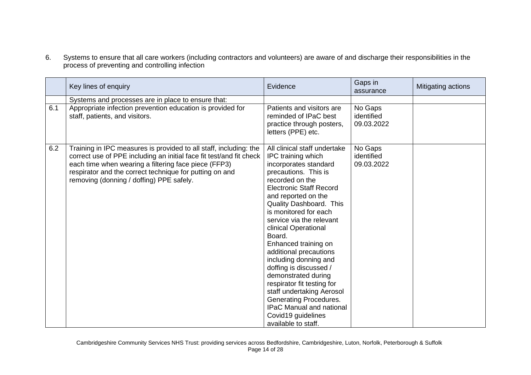6. Systems to ensure that all care workers (including contractors and volunteers) are aware of and discharge their responsibilities in the process of preventing and controlling infection

|     | Key lines of enquiry                                                                                                                                                                                                                                                                                    | Evidence                                                                                                                                                                                                                                                                                                                                                                                                                                                                                                                                                                                           | Gaps in<br>assurance                | Mitigating actions |
|-----|---------------------------------------------------------------------------------------------------------------------------------------------------------------------------------------------------------------------------------------------------------------------------------------------------------|----------------------------------------------------------------------------------------------------------------------------------------------------------------------------------------------------------------------------------------------------------------------------------------------------------------------------------------------------------------------------------------------------------------------------------------------------------------------------------------------------------------------------------------------------------------------------------------------------|-------------------------------------|--------------------|
|     | Systems and processes are in place to ensure that:                                                                                                                                                                                                                                                      |                                                                                                                                                                                                                                                                                                                                                                                                                                                                                                                                                                                                    |                                     |                    |
| 6.1 | Appropriate infection prevention education is provided for<br>staff, patients, and visitors.                                                                                                                                                                                                            | Patients and visitors are<br>reminded of IPaC best<br>practice through posters,<br>letters (PPE) etc.                                                                                                                                                                                                                                                                                                                                                                                                                                                                                              | No Gaps<br>identified<br>09.03.2022 |                    |
| 6.2 | Training in IPC measures is provided to all staff, including: the<br>correct use of PPE including an initial face fit test/and fit check<br>each time when wearing a filtering face piece (FFP3)<br>respirator and the correct technique for putting on and<br>removing (donning / doffing) PPE safely. | All clinical staff undertake<br>IPC training which<br>incorporates standard<br>precautions. This is<br>recorded on the<br><b>Electronic Staff Record</b><br>and reported on the<br>Quality Dashboard. This<br>is monitored for each<br>service via the relevant<br>clinical Operational<br>Board.<br>Enhanced training on<br>additional precautions<br>including donning and<br>doffing is discussed /<br>demonstrated during<br>respirator fit testing for<br>staff undertaking Aerosol<br>Generating Procedures.<br><b>IPaC Manual and national</b><br>Covid19 guidelines<br>available to staff. | No Gaps<br>identified<br>09.03.2022 |                    |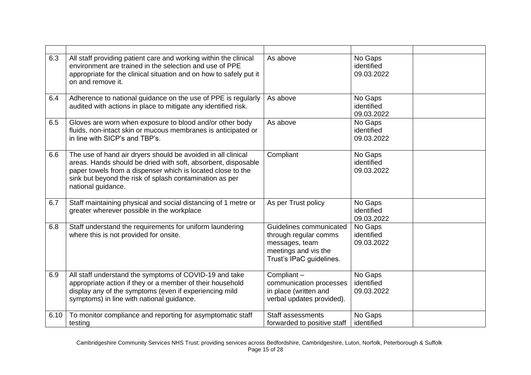| 6.3  | All staff providing patient care and working within the clinical<br>environment are trained in the selection and use of PPE<br>appropriate for the clinical situation and on how to safely put it<br>on and remove it.                                                        | As above                                                                                                               | No Gaps<br>identified<br>09.03.2022 |
|------|-------------------------------------------------------------------------------------------------------------------------------------------------------------------------------------------------------------------------------------------------------------------------------|------------------------------------------------------------------------------------------------------------------------|-------------------------------------|
| 6.4  | Adherence to national guidance on the use of PPE is regularly<br>audited with actions in place to mitigate any identified risk.                                                                                                                                               | As above                                                                                                               | No Gaps<br>identified<br>09.03.2022 |
| 6.5  | Gloves are worn when exposure to blood and/or other body<br>fluids, non-intact skin or mucous membranes is anticipated or<br>in line with SICP's and TBP's.                                                                                                                   | As above                                                                                                               | No Gaps<br>identified<br>09.03.2022 |
| 6.6  | The use of hand air dryers should be avoided in all clinical<br>areas. Hands should be dried with soft, absorbent, disposable<br>paper towels from a dispenser which is located close to the<br>sink but beyond the risk of splash contamination as per<br>national guidance. | Compliant                                                                                                              | No Gaps<br>identified<br>09.03.2022 |
| 6.7  | Staff maintaining physical and social distancing of 1 metre or<br>greater wherever possible in the workplace                                                                                                                                                                  | As per Trust policy                                                                                                    | No Gaps<br>identified<br>09.03.2022 |
| 6.8  | Staff understand the requirements for uniform laundering<br>where this is not provided for onsite.                                                                                                                                                                            | Guidelines communicated<br>through regular comms<br>messages, team<br>meetings and vis the<br>Trust's IPaC guidelines. | No Gaps<br>identified<br>09.03.2022 |
| 6.9  | All staff understand the symptoms of COVID-19 and take<br>appropriate action if they or a member of their household<br>display any of the symptoms (even if experiencing mild<br>symptoms) in line with national guidance.                                                    | Compliant-<br>communication processes<br>in place (written and<br>verbal updates provided).                            | No Gaps<br>identified<br>09.03.2022 |
| 6.10 | To monitor compliance and reporting for asymptomatic staff<br>testing                                                                                                                                                                                                         | <b>Staff assessments</b><br>forwarded to positive staff                                                                | No Gaps<br>identified               |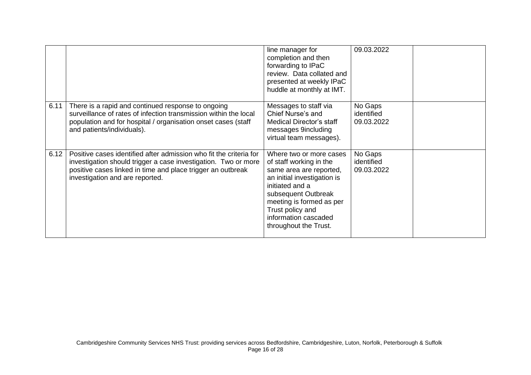|      |                                                                                                                                                                                                                                        | line manager for<br>completion and then<br>forwarding to IPaC<br>review. Data collated and<br>presented at weekly IPaC<br>huddle at monthly at IMT.                                                                                                     | 09.03.2022                          |  |
|------|----------------------------------------------------------------------------------------------------------------------------------------------------------------------------------------------------------------------------------------|---------------------------------------------------------------------------------------------------------------------------------------------------------------------------------------------------------------------------------------------------------|-------------------------------------|--|
| 6.11 | There is a rapid and continued response to ongoing<br>surveillance of rates of infection transmission within the local<br>population and for hospital / organisation onset cases (staff<br>and patients/individuals).                  | Messages to staff via<br>Chief Nurse's and<br>Medical Director's staff<br>messages 9including<br>virtual team messages).                                                                                                                                | No Gaps<br>identified<br>09.03.2022 |  |
| 6.12 | Positive cases identified after admission who fit the criteria for<br>investigation should trigger a case investigation. Two or more<br>positive cases linked in time and place trigger an outbreak<br>investigation and are reported. | Where two or more cases<br>of staff working in the<br>same area are reported,<br>an initial investigation is<br>initiated and a<br>subsequent Outbreak<br>meeting is formed as per<br>Trust policy and<br>information cascaded<br>throughout the Trust. | No Gaps<br>identified<br>09.03.2022 |  |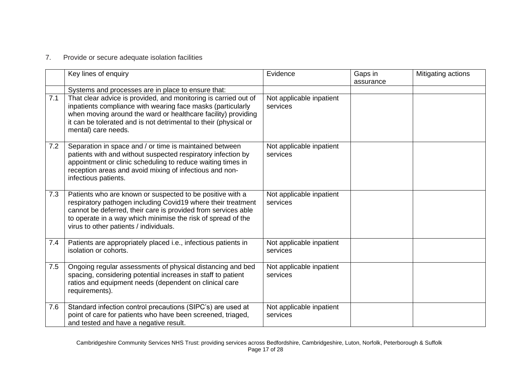## 7. Provide or secure adequate isolation facilities

|     | Key lines of enquiry                                                                                                                                                                                                                                                                                 | Evidence                             | Gaps in<br>assurance | Mitigating actions |
|-----|------------------------------------------------------------------------------------------------------------------------------------------------------------------------------------------------------------------------------------------------------------------------------------------------------|--------------------------------------|----------------------|--------------------|
|     | Systems and processes are in place to ensure that:                                                                                                                                                                                                                                                   |                                      |                      |                    |
| 7.1 | That clear advice is provided, and monitoring is carried out of<br>inpatients compliance with wearing face masks (particularly<br>when moving around the ward or healthcare facility) providing<br>it can be tolerated and is not detrimental to their (physical or<br>mental) care needs.           | Not applicable inpatient<br>services |                      |                    |
| 7.2 | Separation in space and / or time is maintained between<br>patients with and without suspected respiratory infection by<br>appointment or clinic scheduling to reduce waiting times in<br>reception areas and avoid mixing of infectious and non-<br>infectious patients.                            | Not applicable inpatient<br>services |                      |                    |
| 7.3 | Patients who are known or suspected to be positive with a<br>respiratory pathogen including Covid19 where their treatment<br>cannot be deferred, their care is provided from services able<br>to operate in a way which minimise the risk of spread of the<br>virus to other patients / individuals. | Not applicable inpatient<br>services |                      |                    |
| 7.4 | Patients are appropriately placed i.e., infectious patients in<br>isolation or cohorts.                                                                                                                                                                                                              | Not applicable inpatient<br>services |                      |                    |
| 7.5 | Ongoing regular assessments of physical distancing and bed<br>spacing, considering potential increases in staff to patient<br>ratios and equipment needs (dependent on clinical care<br>requirements).                                                                                               | Not applicable inpatient<br>services |                      |                    |
| 7.6 | Standard infection control precautions (SIPC's) are used at<br>point of care for patients who have been screened, triaged,<br>and tested and have a negative result.                                                                                                                                 | Not applicable inpatient<br>services |                      |                    |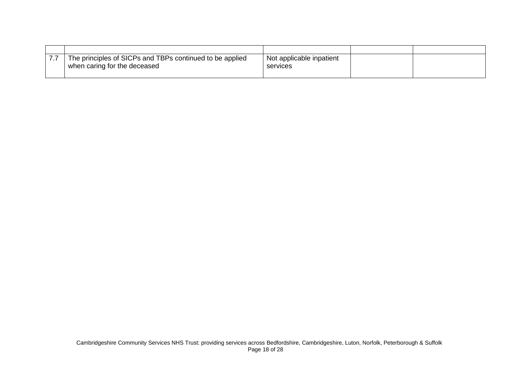| The principles of SICPs and TBPs continued to be applied<br>when caring for the deceased | Not applicable inpatient<br>services |  |
|------------------------------------------------------------------------------------------|--------------------------------------|--|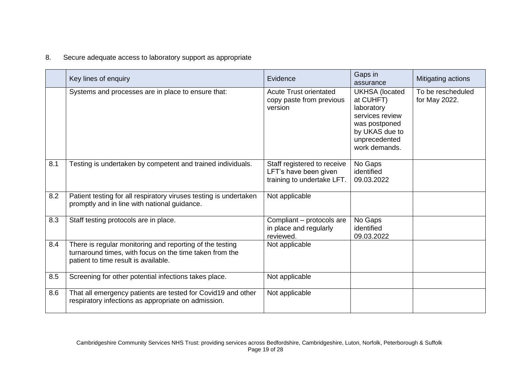## 8. Secure adequate access to laboratory support as appropriate

|     | Key lines of enquiry                                                                                                                                        | Evidence                                                                           | Gaps in<br>assurance                                                                                                                     | Mitigating actions                 |
|-----|-------------------------------------------------------------------------------------------------------------------------------------------------------------|------------------------------------------------------------------------------------|------------------------------------------------------------------------------------------------------------------------------------------|------------------------------------|
|     | Systems and processes are in place to ensure that:                                                                                                          | <b>Acute Trust orientated</b><br>copy paste from previous<br>version               | <b>UKHSA</b> (located<br>at CUHFT)<br>laboratory<br>services review<br>was postponed<br>by UKAS due to<br>unprecedented<br>work demands. | To be rescheduled<br>for May 2022. |
| 8.1 | Testing is undertaken by competent and trained individuals.                                                                                                 | Staff registered to receive<br>LFT's have been given<br>training to undertake LFT. | No Gaps<br>identified<br>09.03.2022                                                                                                      |                                    |
| 8.2 | Patient testing for all respiratory viruses testing is undertaken<br>promptly and in line with national guidance.                                           | Not applicable                                                                     |                                                                                                                                          |                                    |
| 8.3 | Staff testing protocols are in place.                                                                                                                       | Compliant - protocols are<br>in place and regularly<br>reviewed.                   | No Gaps<br>identified<br>09.03.2022                                                                                                      |                                    |
| 8.4 | There is regular monitoring and reporting of the testing<br>turnaround times, with focus on the time taken from the<br>patient to time result is available. | Not applicable                                                                     |                                                                                                                                          |                                    |
| 8.5 | Screening for other potential infections takes place.                                                                                                       | Not applicable                                                                     |                                                                                                                                          |                                    |
| 8.6 | That all emergency patients are tested for Covid19 and other<br>respiratory infections as appropriate on admission.                                         | Not applicable                                                                     |                                                                                                                                          |                                    |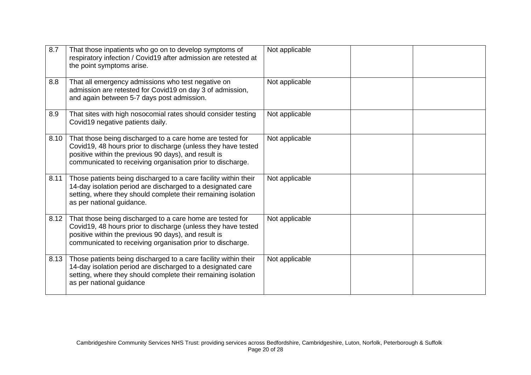| 8.7  | That those inpatients who go on to develop symptoms of<br>respiratory infection / Covid19 after admission are retested at<br>the point symptoms arise.                                                                                           | Not applicable |  |
|------|--------------------------------------------------------------------------------------------------------------------------------------------------------------------------------------------------------------------------------------------------|----------------|--|
| 8.8  | That all emergency admissions who test negative on<br>admission are retested for Covid19 on day 3 of admission,<br>and again between 5-7 days post admission.                                                                                    | Not applicable |  |
| 8.9  | That sites with high nosocomial rates should consider testing<br>Covid19 negative patients daily.                                                                                                                                                | Not applicable |  |
| 8.10 | That those being discharged to a care home are tested for<br>Covid19, 48 hours prior to discharge (unless they have tested<br>positive within the previous 90 days), and result is<br>communicated to receiving organisation prior to discharge. | Not applicable |  |
| 8.11 | Those patients being discharged to a care facility within their<br>14-day isolation period are discharged to a designated care<br>setting, where they should complete their remaining isolation<br>as per national guidance.                     | Not applicable |  |
| 8.12 | That those being discharged to a care home are tested for<br>Covid19, 48 hours prior to discharge (unless they have tested<br>positive within the previous 90 days), and result is<br>communicated to receiving organisation prior to discharge. | Not applicable |  |
| 8.13 | Those patients being discharged to a care facility within their<br>14-day isolation period are discharged to a designated care<br>setting, where they should complete their remaining isolation<br>as per national guidance                      | Not applicable |  |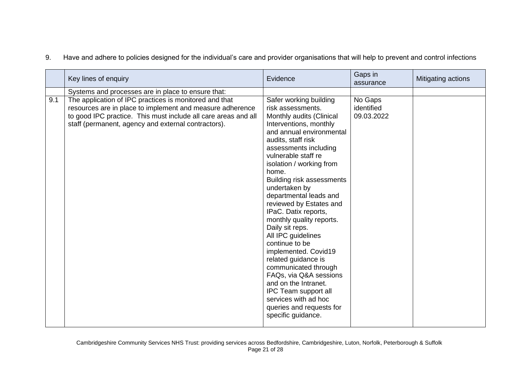|     | Key lines of enquiry                                                                                                                                                                                                                         | Evidence                                                                                                                                                                                                                                                                                                                                                                                                                                                                                                                                                                                                                                                                              | Gaps in<br>assurance                | Mitigating actions |
|-----|----------------------------------------------------------------------------------------------------------------------------------------------------------------------------------------------------------------------------------------------|---------------------------------------------------------------------------------------------------------------------------------------------------------------------------------------------------------------------------------------------------------------------------------------------------------------------------------------------------------------------------------------------------------------------------------------------------------------------------------------------------------------------------------------------------------------------------------------------------------------------------------------------------------------------------------------|-------------------------------------|--------------------|
|     | Systems and processes are in place to ensure that:                                                                                                                                                                                           |                                                                                                                                                                                                                                                                                                                                                                                                                                                                                                                                                                                                                                                                                       |                                     |                    |
| 9.1 | The application of IPC practices is monitored and that<br>resources are in place to implement and measure adherence<br>to good IPC practice. This must include all care areas and all<br>staff (permanent, agency and external contractors). | Safer working building<br>risk assessments.<br>Monthly audits (Clinical<br>Interventions, monthly<br>and annual environmental<br>audits, staff risk<br>assessments including<br>vulnerable staff re<br>isolation / working from<br>home.<br>Building risk assessments<br>undertaken by<br>departmental leads and<br>reviewed by Estates and<br>IPaC. Datix reports,<br>monthly quality reports.<br>Daily sit reps.<br>All IPC guidelines<br>continue to be<br>implemented. Covid19<br>related guidance is<br>communicated through<br>FAQs, via Q&A sessions<br>and on the Intranet.<br>IPC Team support all<br>services with ad hoc<br>queries and requests for<br>specific guidance. | No Gaps<br>identified<br>09.03.2022 |                    |

9. Have and adhere to policies designed for the individual's care and provider organisations that will help to prevent and control infections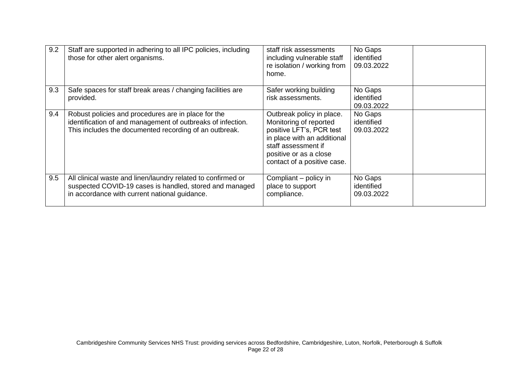| 9.2 | Staff are supported in adhering to all IPC policies, including<br>those for other alert organisms.                                                                           | staff risk assessments<br>including vulnerable staff<br>re isolation / working from<br>home.                                                                                                   | No Gaps<br>identified<br>09.03.2022 |  |
|-----|------------------------------------------------------------------------------------------------------------------------------------------------------------------------------|------------------------------------------------------------------------------------------------------------------------------------------------------------------------------------------------|-------------------------------------|--|
| 9.3 | Safe spaces for staff break areas / changing facilities are<br>provided.                                                                                                     | Safer working building<br>risk assessments.                                                                                                                                                    | No Gaps<br>identified<br>09.03.2022 |  |
| 9.4 | Robust policies and procedures are in place for the<br>identification of and management of outbreaks of infection.<br>This includes the documented recording of an outbreak. | Outbreak policy in place.<br>Monitoring of reported<br>positive LFT's, PCR test<br>in place with an additional<br>staff assessment if<br>positive or as a close<br>contact of a positive case. | No Gaps<br>identified<br>09.03.2022 |  |
| 9.5 | All clinical waste and linen/laundry related to confirmed or<br>suspected COVID-19 cases is handled, stored and managed<br>in accordance with current national guidance.     | Compliant – policy in<br>place to support<br>compliance.                                                                                                                                       | No Gaps<br>identified<br>09.03.2022 |  |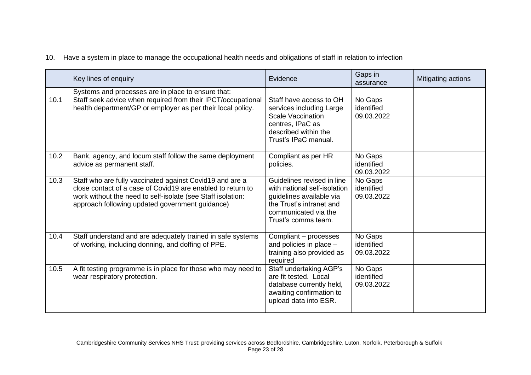|  | 10. Have a system in place to manage the occupational health needs and obligations of staff in relation to infection |  |  |  |
|--|----------------------------------------------------------------------------------------------------------------------|--|--|--|
|--|----------------------------------------------------------------------------------------------------------------------|--|--|--|

|      | Key lines of enquiry                                                                                                                                                                                                                      | Evidence                                                                                                                                                          | Gaps in<br>assurance                | Mitigating actions |
|------|-------------------------------------------------------------------------------------------------------------------------------------------------------------------------------------------------------------------------------------------|-------------------------------------------------------------------------------------------------------------------------------------------------------------------|-------------------------------------|--------------------|
|      | Systems and processes are in place to ensure that:                                                                                                                                                                                        |                                                                                                                                                                   |                                     |                    |
| 10.1 | Staff seek advice when required from their IPCT/occupational<br>health department/GP or employer as per their local policy.                                                                                                               | Staff have access to OH<br>services including Large<br><b>Scale Vaccination</b><br>centres, IPaC as<br>described within the<br>Trust's IPaC manual.               | No Gaps<br>identified<br>09.03.2022 |                    |
| 10.2 | Bank, agency, and locum staff follow the same deployment<br>advice as permanent staff.                                                                                                                                                    | Compliant as per HR<br>policies.                                                                                                                                  | No Gaps<br>identified<br>09.03.2022 |                    |
| 10.3 | Staff who are fully vaccinated against Covid19 and are a<br>close contact of a case of Covid19 are enabled to return to<br>work without the need to self-isolate (see Staff isolation:<br>approach following updated government guidance) | Guidelines revised in line<br>with national self-isolation<br>guidelines available via<br>the Trust's intranet and<br>communicated via the<br>Trust's comms team. | No Gaps<br>identified<br>09.03.2022 |                    |
| 10.4 | Staff understand and are adequately trained in safe systems<br>of working, including donning, and doffing of PPE.                                                                                                                         | Compliant - processes<br>and policies in place $-$<br>training also provided as<br>required                                                                       | No Gaps<br>identified<br>09.03.2022 |                    |
| 10.5 | A fit testing programme is in place for those who may need to<br>wear respiratory protection.                                                                                                                                             | Staff undertaking AGP's<br>are fit tested. Local<br>database currently held,<br>awaiting confirmation to<br>upload data into ESR.                                 | No Gaps<br>identified<br>09.03.2022 |                    |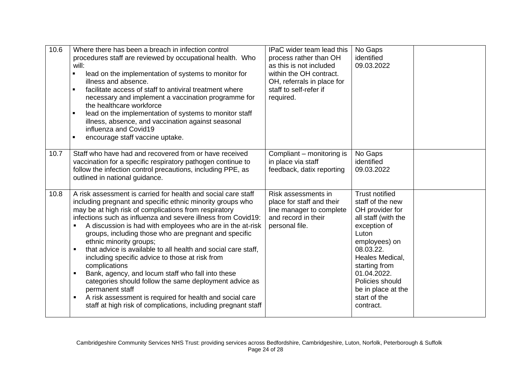| 10.6 | Where there has been a breach in infection control<br>procedures staff are reviewed by occupational health. Who<br>will:<br>lead on the implementation of systems to monitor for<br>illness and absence.<br>facilitate access of staff to antiviral treatment where<br>necessary and implement a vaccination programme for<br>the healthcare workforce<br>lead on the implementation of systems to monitor staff<br>illness, absence, and vaccination against seasonal<br>influenza and Covid19<br>encourage staff vaccine uptake.                                                                                                                                                                                                                                                                                                | IPaC wider team lead this<br>process rather than OH<br>as this is not included<br>within the OH contract.<br>OH, referrals in place for<br>staff to self-refer if<br>required. | No Gaps<br>identified<br>09.03.2022                                                                                                                                                                                                                                 |  |
|------|-----------------------------------------------------------------------------------------------------------------------------------------------------------------------------------------------------------------------------------------------------------------------------------------------------------------------------------------------------------------------------------------------------------------------------------------------------------------------------------------------------------------------------------------------------------------------------------------------------------------------------------------------------------------------------------------------------------------------------------------------------------------------------------------------------------------------------------|--------------------------------------------------------------------------------------------------------------------------------------------------------------------------------|---------------------------------------------------------------------------------------------------------------------------------------------------------------------------------------------------------------------------------------------------------------------|--|
| 10.7 | Staff who have had and recovered from or have received<br>vaccination for a specific respiratory pathogen continue to<br>follow the infection control precautions, including PPE, as<br>outlined in national guidance.                                                                                                                                                                                                                                                                                                                                                                                                                                                                                                                                                                                                            | Compliant - monitoring is<br>in place via staff<br>feedback, datix reporting                                                                                                   | No Gaps<br>identified<br>09.03.2022                                                                                                                                                                                                                                 |  |
| 10.8 | A risk assessment is carried for health and social care staff<br>including pregnant and specific ethnic minority groups who<br>may be at high risk of complications from respiratory<br>infections such as influenza and severe illness from Covid19:<br>A discussion is had with employees who are in the at-risk<br>groups, including those who are pregnant and specific<br>ethnic minority groups;<br>that advice is available to all health and social care staff,<br>including specific advice to those at risk from<br>complications<br>Bank, agency, and locum staff who fall into these<br>٠<br>categories should follow the same deployment advice as<br>permanent staff<br>A risk assessment is required for health and social care<br>$\blacksquare$<br>staff at high risk of complications, including pregnant staff | Risk assessments in<br>place for staff and their<br>line manager to complete<br>and record in their<br>personal file.                                                          | <b>Trust notified</b><br>staff of the new<br>OH provider for<br>all staff (with the<br>exception of<br>Luton<br>employees) on<br>08.03.22.<br>Heales Medical,<br>starting from<br>01.04.2022.<br>Policies should<br>be in place at the<br>start of the<br>contract. |  |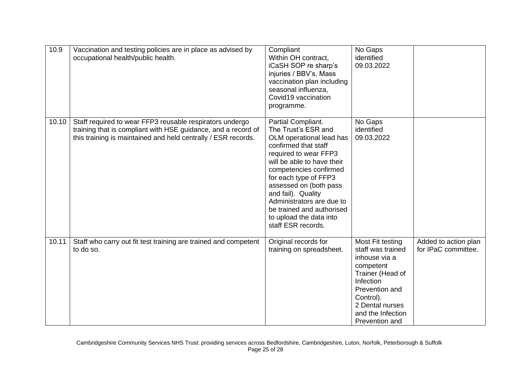| 10.9  | Vaccination and testing policies are in place as advised by<br>occupational health/public health.                                                                                          | Compliant<br>Within OH contract,<br>iCaSH SOP re sharp's<br>injuries / BBV's, Mass<br>vaccination plan including<br>seasonal influenza,<br>Covid19 vaccination<br>programme.                                                                                                                                                                                       | No Gaps<br>identified<br>09.03.2022                                                                                                                                                           |                                             |
|-------|--------------------------------------------------------------------------------------------------------------------------------------------------------------------------------------------|--------------------------------------------------------------------------------------------------------------------------------------------------------------------------------------------------------------------------------------------------------------------------------------------------------------------------------------------------------------------|-----------------------------------------------------------------------------------------------------------------------------------------------------------------------------------------------|---------------------------------------------|
| 10.10 | Staff required to wear FFP3 reusable respirators undergo<br>training that is compliant with HSE guidance, and a record of<br>this training is maintained and held centrally / ESR records. | Partial Compliant.<br>The Trust's ESR and<br>OLM operational lead has<br>confirmed that staff<br>required to wear FFP3<br>will be able to have their<br>competencies confirmed<br>for each type of FFP3<br>assessed on (both pass<br>and fail). Quality<br>Administrators are due to<br>be trained and authorised<br>to upload the data into<br>staff ESR records. | No Gaps<br>identified<br>09.03.2022                                                                                                                                                           |                                             |
| 10.11 | Staff who carry out fit test training are trained and competent<br>to do so.                                                                                                               | Original records for<br>training on spreadsheet.                                                                                                                                                                                                                                                                                                                   | Most Fit testing<br>staff was trained<br>inhouse via a<br>competent<br>Trainer (Head of<br>Infection<br>Prevention and<br>Control).<br>2 Dental nurses<br>and the Infection<br>Prevention and | Added to action plan<br>for IPaC committee. |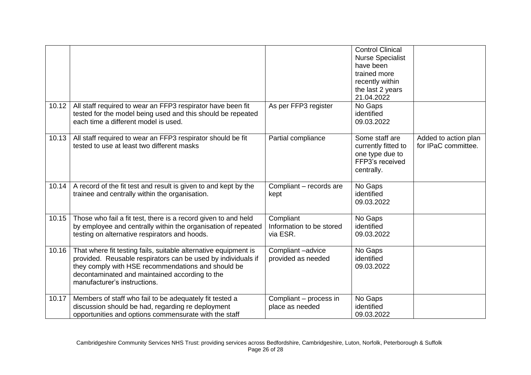| 10.12 | All staff required to wear an FFP3 respirator have been fit                                                                                                                                                                                                             | As per FFP3 register                              | <b>Control Clinical</b><br><b>Nurse Specialist</b><br>have been<br>trained more<br>recently within<br>the last 2 years<br>21.04.2022<br>No Gaps |                                             |
|-------|-------------------------------------------------------------------------------------------------------------------------------------------------------------------------------------------------------------------------------------------------------------------------|---------------------------------------------------|-------------------------------------------------------------------------------------------------------------------------------------------------|---------------------------------------------|
|       | tested for the model being used and this should be repeated<br>each time a different model is used.                                                                                                                                                                     |                                                   | identified<br>09.03.2022                                                                                                                        |                                             |
| 10.13 | All staff required to wear an FFP3 respirator should be fit<br>tested to use at least two different masks                                                                                                                                                               | Partial compliance                                | Some staff are<br>currently fitted to<br>one type due to<br>FFP3's received<br>centrally.                                                       | Added to action plan<br>for IPaC committee. |
| 10.14 | A record of the fit test and result is given to and kept by the<br>trainee and centrally within the organisation.                                                                                                                                                       | Compliant - records are<br>kept                   | No Gaps<br>identified<br>09.03.2022                                                                                                             |                                             |
| 10.15 | Those who fail a fit test, there is a record given to and held<br>by employee and centrally within the organisation of repeated<br>testing on alternative respirators and hoods.                                                                                        | Compliant<br>Information to be stored<br>via ESR. | No Gaps<br>identified<br>09.03.2022                                                                                                             |                                             |
| 10.16 | That where fit testing fails, suitable alternative equipment is<br>provided. Reusable respirators can be used by individuals if<br>they comply with HSE recommendations and should be<br>decontaminated and maintained according to the<br>manufacturer's instructions. | Compliant-advice<br>provided as needed            | No Gaps<br>identified<br>09.03.2022                                                                                                             |                                             |
| 10.17 | Members of staff who fail to be adequately fit tested a<br>discussion should be had, regarding re deployment<br>opportunities and options commensurate with the staff                                                                                                   | Compliant - process in<br>place as needed         | No Gaps<br>identified<br>09.03.2022                                                                                                             |                                             |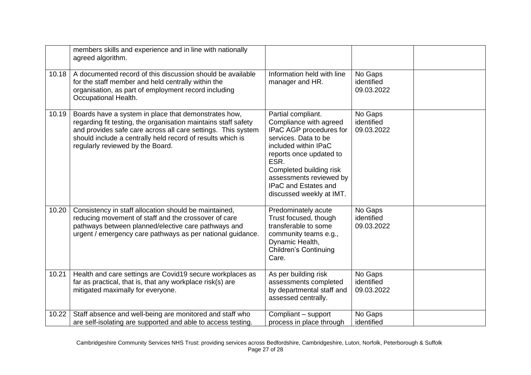|       | members skills and experience and in line with nationally<br>agreed algorithm.                                                                                                                                                                                                           |                                                                                                                                                                                                                                                                             |                                     |  |
|-------|------------------------------------------------------------------------------------------------------------------------------------------------------------------------------------------------------------------------------------------------------------------------------------------|-----------------------------------------------------------------------------------------------------------------------------------------------------------------------------------------------------------------------------------------------------------------------------|-------------------------------------|--|
| 10.18 | A documented record of this discussion should be available<br>for the staff member and held centrally within the<br>organisation, as part of employment record including<br>Occupational Health.                                                                                         | Information held with line<br>manager and HR.                                                                                                                                                                                                                               | No Gaps<br>identified<br>09.03.2022 |  |
| 10.19 | Boards have a system in place that demonstrates how,<br>regarding fit testing, the organisation maintains staff safety<br>and provides safe care across all care settings. This system<br>should include a centrally held record of results which is<br>regularly reviewed by the Board. | Partial compliant.<br>Compliance with agreed<br>IPaC AGP procedures for<br>services. Data to be<br>included within IPaC<br>reports once updated to<br>ESR.<br>Completed building risk<br>assessments reviewed by<br><b>IPaC and Estates and</b><br>discussed weekly at IMT. | No Gaps<br>identified<br>09.03.2022 |  |
| 10.20 | Consistency in staff allocation should be maintained,<br>reducing movement of staff and the crossover of care<br>pathways between planned/elective care pathways and<br>urgent / emergency care pathways as per national guidance.                                                       | Predominately acute<br>Trust focused, though<br>transferable to some<br>community teams e.g.,<br>Dynamic Health,<br><b>Children's Continuing</b><br>Care.                                                                                                                   | No Gaps<br>identified<br>09.03.2022 |  |
| 10.21 | Health and care settings are Covid19 secure workplaces as<br>far as practical, that is, that any workplace risk(s) are<br>mitigated maximally for everyone.                                                                                                                              | As per building risk<br>assessments completed<br>by departmental staff and<br>assessed centrally.                                                                                                                                                                           | No Gaps<br>identified<br>09.03.2022 |  |
| 10.22 | Staff absence and well-being are monitored and staff who<br>are self-isolating are supported and able to access testing.                                                                                                                                                                 | Compliant - support<br>process in place through                                                                                                                                                                                                                             | No Gaps<br>identified               |  |